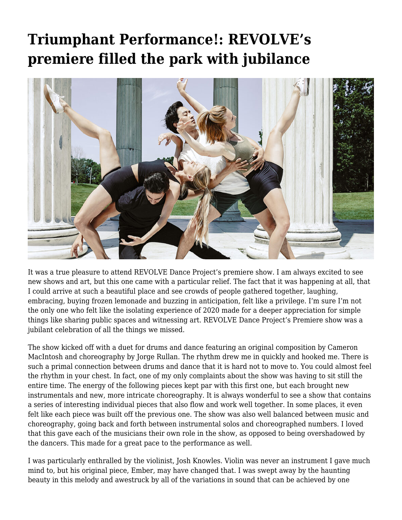## **[Triumphant Performance!: REVOLVE's](https://motifri.com/triumphant-performance-revolves-premiere-filled-the-park-with-jubilance/) [premiere filled the park with jubilance](https://motifri.com/triumphant-performance-revolves-premiere-filled-the-park-with-jubilance/)**



It was a true pleasure to attend REVOLVE Dance Project's premiere show. I am always excited to see new shows and art, but this one came with a particular relief. The fact that it was happening at all, that I could arrive at such a beautiful place and see crowds of people gathered together, laughing, embracing, buying frozen lemonade and buzzing in anticipation, felt like a privilege. I'm sure I'm not the only one who felt like the isolating experience of 2020 made for a deeper appreciation for simple things like sharing public spaces and witnessing art. REVOLVE Dance Project's Premiere show was a jubilant celebration of all the things we missed.

The show kicked off with a duet for drums and dance featuring an original composition by Cameron MacIntosh and choreography by Jorge Rullan. The rhythm drew me in quickly and hooked me. There is such a primal connection between drums and dance that it is hard not to move to. You could almost feel the rhythm in your chest. In fact, one of my only complaints about the show was having to sit still the entire time. The energy of the following pieces kept par with this first one, but each brought new instrumentals and new, more intricate choreography. It is always wonderful to see a show that contains a series of interesting individual pieces that also flow and work well together. In some places, it even felt like each piece was built off the previous one. The show was also well balanced between music and choreography, going back and forth between instrumental solos and choreographed numbers. I loved that this gave each of the musicians their own role in the show, as opposed to being overshadowed by the dancers. This made for a great pace to the performance as well.

I was particularly enthralled by the violinist, Josh Knowles. Violin was never an instrument I gave much mind to, but his original piece, Ember, may have changed that. I was swept away by the haunting beauty in this melody and awestruck by all of the variations in sound that can be achieved by one